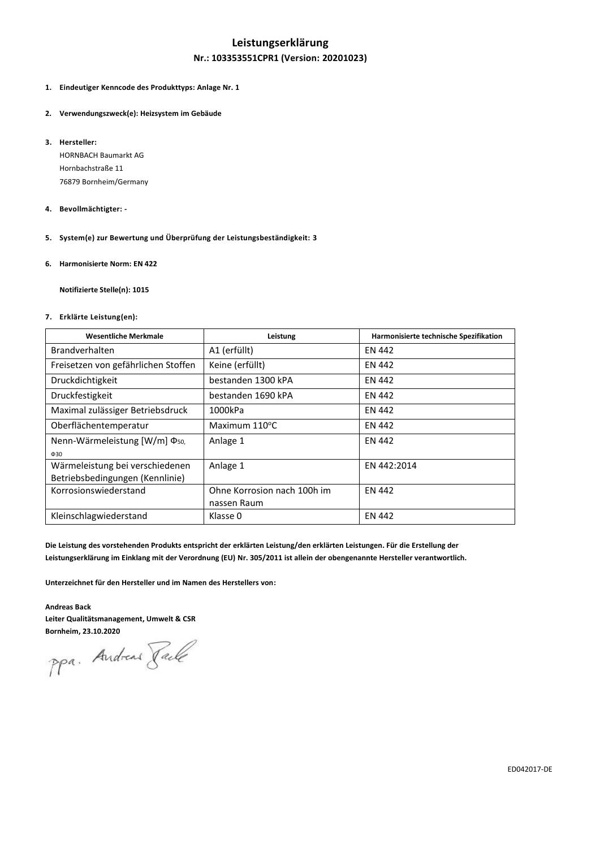# **Leistungserklärung Nr.: 103353551CPR1 (Version: 20201023)**

- **1. Eindeutiger Kenncode des Produkttyps: Anlage Nr. 1**
- **2. Verwendungszweck(e): Heizsystem im Gebäude**
- **3. Hersteller:**

HORNBACH Baumarkt AG Hornbachstraße 11 76879 Bornheim/Germany

- **4. Bevollmächtigter: -**
- **5. System(e) zur Bewertung und Überprüfung der Leistungsbeständigkeit: 3**
- **6. Harmonisierte Norm: EN 422**

**Notifizierte Stelle(n): 1015**

## **7. Erklärte Leistung(en):**

| <b>Wesentliche Merkmale</b>                | Leistung                    | Harmonisierte technische Spezifikation |
|--------------------------------------------|-----------------------------|----------------------------------------|
| <b>Brandverhalten</b>                      | A1 (erfüllt)                | <b>EN 442</b>                          |
| Freisetzen von gefährlichen Stoffen        | Keine (erfüllt)             | <b>EN 442</b>                          |
| Druckdichtigkeit                           | bestanden 1300 kPA          | <b>EN 442</b>                          |
| Druckfestigkeit                            | bestanden 1690 kPA          | EN 442                                 |
| Maximal zulässiger Betriebsdruck           | 1000kPa                     | EN 442                                 |
| Oberflächentemperatur                      | Maximum $110^{\circ}$ C     | <b>EN 442</b>                          |
| Nenn-Wärmeleistung $[{\rm W/m}] \Phi_{50}$ | Anlage 1                    | EN 442                                 |
| $\Phi$ 30                                  |                             |                                        |
| Wärmeleistung bei verschiedenen            | Anlage 1                    | EN 442:2014                            |
| Betriebsbedingungen (Kennlinie)            |                             |                                        |
| Korrosionswiederstand                      | Ohne Korrosion nach 100h im | <b>EN 442</b>                          |
|                                            | nassen Raum                 |                                        |
| Kleinschlagwiederstand                     | Klasse 0                    | <b>EN 442</b>                          |

**Die Leistung des vorstehenden Produkts entspricht der erklärten Leistung/den erklärten Leistungen. Für die Erstellung der Leistungserklärung im Einklang mit der Verordnung (EU) Nr. 305/2011 ist allein der obengenannte Hersteller verantwortlich.**

**Unterzeichnet für den Hersteller und im Namen des Herstellers von:**

## **Andreas Back Leiter Qualitätsmanagement, Umwelt & CSR**

**Bornheim, 23.10.2020**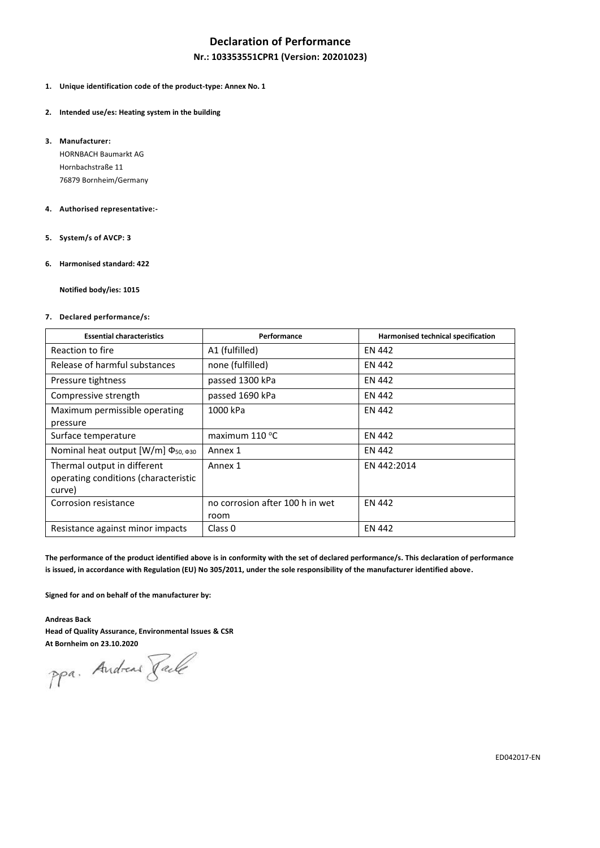## **Declaration of Performance**

## **Nr.: 103353551CPR1 (Version: 20201023)**

- **1. Unique identification code of the product-type: Annex No. 1**
- **2. Intended use/es: Heating system in the building**
- **3. Manufacturer:**

HORNBACH Baumarkt AG Hornbachstraße 11 76879 Bornheim/Germany

### **4. Authorised representative:-**

- **5. System/s of AVCP: 3**
- **6. Harmonised standard: 422**

**Notified body/ies: 1015**

### **7. Declared performance/s:**

| <b>Essential characteristics</b>                                              | Performance                             | Harmonised technical specification |
|-------------------------------------------------------------------------------|-----------------------------------------|------------------------------------|
| Reaction to fire                                                              | A1 (fulfilled)                          | <b>EN 442</b>                      |
| Release of harmful substances                                                 | none (fulfilled)                        | EN 442                             |
| Pressure tightness                                                            | passed 1300 kPa                         | EN 442                             |
| Compressive strength                                                          | passed 1690 kPa                         | <b>EN 442</b>                      |
| Maximum permissible operating<br>pressure                                     | 1000 kPa                                | EN 442                             |
| Surface temperature                                                           | maximum $110^{\circ}$ C                 | <b>EN 442</b>                      |
| Nominal heat output [W/m] Φ <sub>50, Φ30</sub>                                | Annex 1                                 | <b>EN 442</b>                      |
| Thermal output in different<br>operating conditions (characteristic<br>curve) | Annex 1                                 | EN 442:2014                        |
| Corrosion resistance                                                          | no corrosion after 100 h in wet<br>room | <b>EN 442</b>                      |
| Resistance against minor impacts                                              | Class 0                                 | <b>EN 442</b>                      |

The performance of the product identified above is in conformity with the set of declared performance/s. This declaration of performance **is issued, in accordance with Regulation (EU) No 305/2011, under the sole responsibility of the manufacturer identified above.**

**Signed for and on behalf of the manufacturer by:**

**Andreas Back**

**Head of Quality Assurance, Environmental Issues & CSR**

**At Bornheim on 23.10.2020**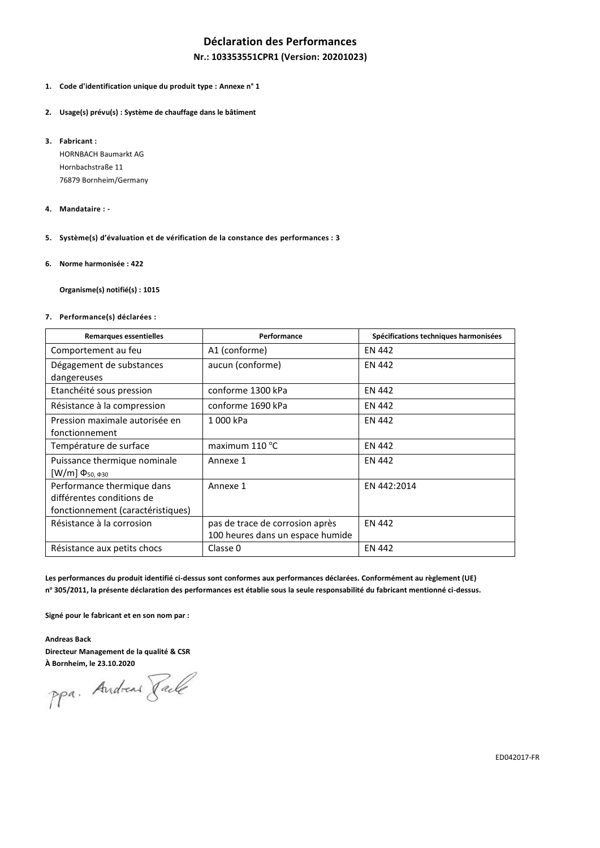## **Déclaration des Performances**

### **Nr.: 103353551CPR1 (Version: 20201023)**

- **1. Code d'identification unique du produit type : Annexe n° 1**
- **2. Usage(s) prévu(s) : Système de chauffage dans le bâtiment**
- **3. Fabricant :**

HORNBACH Baumarkt AG Hornbachstraße 11 76879 Bornheim/Germany

- **4. Mandataire : -**
- **5. Système(s) d'évaluation et de vérification de la constance des performances : 3**
- **6. Norme harmonisée : 422**

**Organisme(s) notifié(s) : 1015**

**7. Performance(s) déclarées :**

| <b>Remarques essentielles</b>                                                                | Spécifications techniques harmonisées<br>Performance                |               |  |  |
|----------------------------------------------------------------------------------------------|---------------------------------------------------------------------|---------------|--|--|
| Comportement au feu                                                                          | A1 (conforme)                                                       | EN 442        |  |  |
| Dégagement de substances<br>dangereuses                                                      | aucun (conforme)                                                    | EN 442        |  |  |
| Etanchéité sous pression                                                                     | conforme 1300 kPa                                                   | EN 442        |  |  |
| Résistance à la compression                                                                  | conforme 1690 kPa                                                   | EN 442        |  |  |
| Pression maximale autorisée en<br>fonctionnement                                             | 1000 kPa                                                            | <b>EN 442</b> |  |  |
| Température de surface                                                                       | maximum $110^{\circ}$ C                                             | EN 442        |  |  |
| Puissance thermique nominale<br>$[W/m] \Phi_{50, \Phi_{30}}$                                 | Annexe 1                                                            | EN 442        |  |  |
| Performance thermique dans<br>différentes conditions de<br>fonctionnement (caractéristiques) | Annexe 1                                                            | EN 442:2014   |  |  |
| Résistance à la corrosion                                                                    | pas de trace de corrosion après<br>100 heures dans un espace humide | <b>EN 442</b> |  |  |
| Résistance aux petits chocs                                                                  | Classe 0                                                            | <b>EN 442</b> |  |  |

**Les performances du produit identifié ci-dessus sont conformes aux performances déclarées. Conformément au règlement (UE) n <sup>o</sup> 305/2011, la présente déclaration des performances est établie sous la seule responsabilité du fabricant mentionné ci-dessus.**

**Signé pour le fabricant et en son nom par :**

**Andreas Back Directeur Management de la qualité & CSR**

**À Bornheim, le 23.10.2020**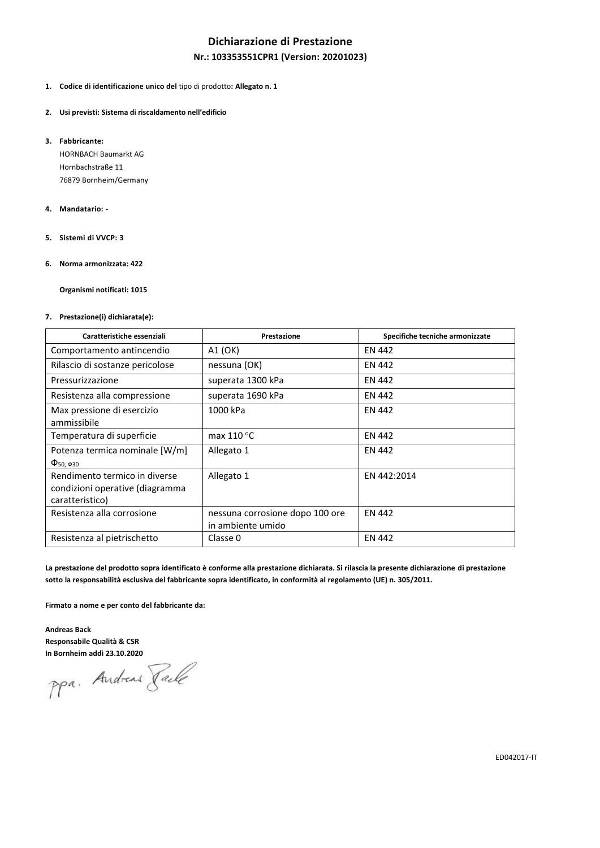## **Dichiarazione di Prestazione**

### **Nr.: 103353551CPR1 (Version: 20201023)**

### **1. Codice di identificazione unico del** tipo di prodotto**: Allegato n. 1**

#### **2. Usi previsti: Sistema di riscaldamento nell'edificio**

**3. Fabbricante:**

HORNBACH Baumarkt AG Hornbachstraße 11 76879 Bornheim/Germany

#### **4. Mandatario: -**

**5. Sistemi di VVCP: 3**

### **6. Norma armonizzata: 422**

**Organismi notificati: 1015**

### **7. Prestazione(i) dichiarata(e):**

| Caratteristiche essenziali                                                          | Prestazione                                          | Specifiche tecniche armonizzate |  |  |
|-------------------------------------------------------------------------------------|------------------------------------------------------|---------------------------------|--|--|
| Comportamento antincendio                                                           | A1 (OK)                                              | EN 442                          |  |  |
| Rilascio di sostanze pericolose                                                     | nessuna (OK)                                         | EN 442                          |  |  |
| Pressurizzazione                                                                    | superata 1300 kPa                                    | EN 442                          |  |  |
| Resistenza alla compressione                                                        | superata 1690 kPa                                    | EN 442                          |  |  |
| Max pressione di esercizio<br>ammissibile                                           | 1000 kPa                                             | EN 442                          |  |  |
| Temperatura di superficie                                                           | max $110 °C$                                         | EN 442                          |  |  |
| Potenza termica nominale [W/m]<br>$\Phi$ <sub>50</sub> , $\Phi$ <sub>30</sub>       | Allegato 1                                           | EN 442                          |  |  |
| Rendimento termico in diverse<br>condizioni operative (diagramma<br>caratteristico) | Allegato 1                                           | EN 442:2014                     |  |  |
| Resistenza alla corrosione                                                          | nessuna corrosione dopo 100 ore<br>in ambiente umido | EN 442                          |  |  |
| Resistenza al pietrischetto                                                         | Classe 0                                             | <b>EN 442</b>                   |  |  |

**La prestazione del prodotto sopra identificato è conforme alla prestazione dichiarata. Si rilascia la presente dichiarazione di prestazione sotto la responsabilità esclusiva del fabbricante sopra identificato, in conformità al regolamento (UE) n. 305/2011.**

**Firmato a nome e per conto del fabbricante da:**

**Andreas Back Responsabile Qualità & CSR**

**In Bornheim addì 23.10.2020**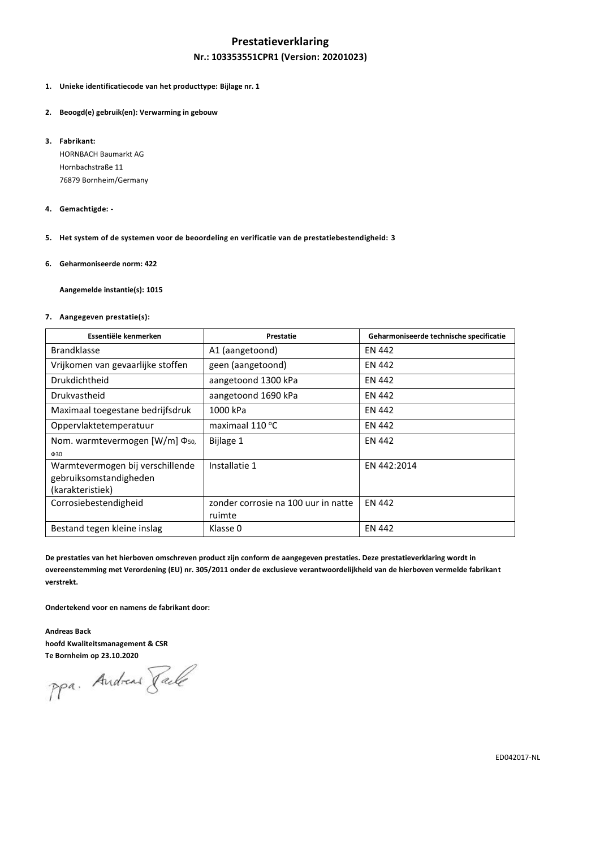## **Prestatieverklaring**

## **Nr.: 103353551CPR1 (Version: 20201023)**

- **1. Unieke identificatiecode van het producttype: Bijlage nr. 1**
- **2. Beoogd(e) gebruik(en): Verwarming in gebouw**
- **3. Fabrikant:**

HORNBACH Baumarkt AG Hornbachstraße 11 76879 Bornheim/Germany

#### **4. Gemachtigde: -**

- **5. Het system of de systemen voor de beoordeling en verificatie van de prestatiebestendigheid: 3**
- **6. Geharmoniseerde norm: 422**

**Aangemelde instantie(s): 1015**

#### **7. Aangegeven prestatie(s):**

| Essentiële kenmerken                       | Prestatie                           | Geharmoniseerde technische specificatie |
|--------------------------------------------|-------------------------------------|-----------------------------------------|
| <b>Brandklasse</b>                         | A1 (aangetoond)                     | EN 442                                  |
| Vrijkomen van gevaarlijke stoffen          | geen (aangetoond)                   | EN 442                                  |
| Drukdichtheid                              | aangetoond 1300 kPa                 | <b>EN 442</b>                           |
| Drukvastheid                               | aangetoond 1690 kPa                 | EN 442                                  |
| Maximaal toegestane bedrijfsdruk           | 1000 kPa                            | EN 442                                  |
| Oppervlaktetemperatuur                     | maximaal 110 °C                     | EN 442                                  |
| Nom. warmtevermogen [W/m] Φ <sub>50.</sub> | Bijlage 1                           | <b>EN 442</b>                           |
| $\Phi$ 30                                  |                                     |                                         |
| Warmtevermogen bij verschillende           | Installatie 1                       | EN 442:2014                             |
| gebruiksomstandigheden                     |                                     |                                         |
| (karakteristiek)                           |                                     |                                         |
| Corrosiebestendigheid                      | zonder corrosie na 100 uur in natte | <b>EN 442</b>                           |
|                                            | ruimte                              |                                         |
| Bestand tegen kleine inslag                | Klasse 0                            | <b>EN 442</b>                           |

**De prestaties van het hierboven omschreven product zijn conform de aangegeven prestaties. Deze prestatieverklaring wordt in overeenstemming met Verordening (EU) nr. 305/2011 onder de exclusieve verantwoordelijkheid van de hierboven vermelde fabrikant verstrekt.**

**Ondertekend voor en namens de fabrikant door:**

**Andreas Back hoofd Kwaliteitsmanagement & CSR**

**Te Bornheim op 23.10.2020**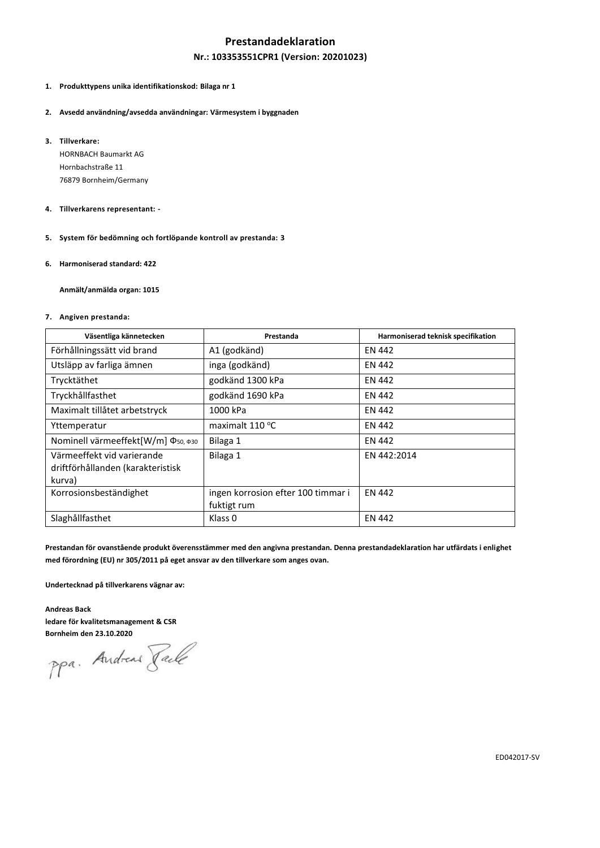## **Prestandadeklaration**

### **Nr.: 103353551CPR1 (Version: 20201023)**

## **1. Produkttypens unika identifikationskod: Bilaga nr 1**

- **2. Avsedd användning/avsedda användningar: Värmesystem i byggnaden**
- **3. Tillverkare:**

HORNBACH Baumarkt AG Hornbachstraße 11 76879 Bornheim/Germany

- **4. Tillverkarens representant: -**
- **5. System för bedömning och fortlöpande kontroll av prestanda: 3**
- **6. Harmoniserad standard: 422**

**Anmält/anmälda organ: 1015**

### **7. Angiven prestanda:**

| Väsentliga kännetecken                                                    | Prestanda                                         | Harmoniserad teknisk specifikation |  |  |
|---------------------------------------------------------------------------|---------------------------------------------------|------------------------------------|--|--|
| Förhållningssätt vid brand                                                | A1 (godkänd)                                      | <b>EN 442</b>                      |  |  |
| Utsläpp av farliga ämnen                                                  | inga (godkänd)                                    | <b>EN 442</b>                      |  |  |
| Trycktäthet                                                               | godkänd 1300 kPa                                  | <b>EN 442</b>                      |  |  |
| Tryckhållfasthet                                                          | godkänd 1690 kPa                                  | <b>EN 442</b>                      |  |  |
| Maximalt tillåtet arbetstryck                                             | 1000 kPa                                          | <b>EN 442</b>                      |  |  |
| Yttemperatur                                                              | maximalt 110 °C                                   | <b>EN 442</b>                      |  |  |
| Nominell värmeeffekt[W/m] Φ <sub>50, Φ30</sub>                            | Bilaga 1                                          | <b>EN 442</b>                      |  |  |
| Värmeeffekt vid varierande<br>driftförhållanden (karakteristisk<br>kurva) | Bilaga 1                                          | EN 442:2014                        |  |  |
| Korrosionsbeständighet                                                    | ingen korrosion efter 100 timmar i<br>fuktigt rum | <b>EN 442</b>                      |  |  |
| Slaghållfasthet                                                           | Klass <sub>0</sub>                                | <b>EN 442</b>                      |  |  |

**Prestandan för ovanstående produkt överensstämmer med den angivna prestandan. Denna prestandadeklaration har utfärdats i enlighet med förordning (EU) nr 305/2011 på eget ansvar av den tillverkare som anges ovan.**

**Undertecknad på tillverkarens vägnar av:**

**Andreas Back ledare för kvalitetsmanagement & CSR**

**Bornheim den 23.10.2020**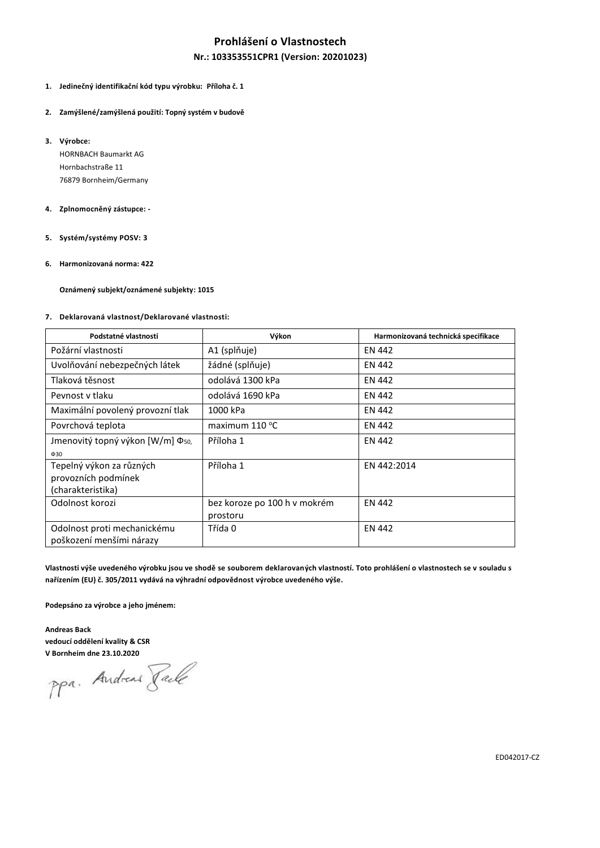# **Prohlášení o Vlastnostech**

## **Nr.: 103353551CPR1 (Version: 20201023)**

### **1. Jedinečný identifikační kód typu výrobku: Příloha č. 1**

- **2. Zamýšlené/zamýšlená použití: Topný systém v budově**
- **3. Výrobce:**

HORNBACH Baumarkt AG Hornbachstraße 11 76879 Bornheim/Germany

### **4. Zplnomocněný zástupce: -**

- **5. Systém/systémy POSV: 3**
- **6. Harmonizovaná norma: 422**

**Oznámený subjekt/oznámené subjekty: 1015**

### **7. Deklarovaná vlastnost/Deklarované vlastnosti:**

| Podstatné vlastnosti                         | Výkon                        | Harmonizovaná technická specifikace |  |  |
|----------------------------------------------|------------------------------|-------------------------------------|--|--|
| Požární vlastnosti                           | A1 (splňuje)                 | <b>EN 442</b>                       |  |  |
| Uvolňování nebezpečných látek                | žádné (splňuje)              | <b>EN 442</b>                       |  |  |
| Tlaková těsnost                              | odolává 1300 kPa             | <b>EN 442</b>                       |  |  |
| Pevnost v tlaku                              | odolává 1690 kPa             | EN 442                              |  |  |
| Maximální povolený provozní tlak             | 1000 kPa                     | <b>EN 442</b>                       |  |  |
| Povrchová teplota                            | maximum $110^{\circ}$ C      | EN 442                              |  |  |
| Jmenovitý topný výkon [W/m] Φ <sub>50,</sub> | Příloha 1                    | <b>EN 442</b>                       |  |  |
| $\Phi$ 30                                    |                              |                                     |  |  |
| Tepelný výkon za různých                     | Příloha 1                    | EN 442:2014                         |  |  |
| provozních podmínek                          |                              |                                     |  |  |
| (charakteristika)                            |                              |                                     |  |  |
| Odolnost korozi                              | bez koroze po 100 h v mokrém | <b>EN 442</b>                       |  |  |
|                                              | prostoru                     |                                     |  |  |
| Odolnost proti mechanickému                  | Třída 0                      | <b>EN 442</b>                       |  |  |
| poškození menšími nárazy                     |                              |                                     |  |  |

**Vlastnosti výše uvedeného výrobku jsou ve shodě se souborem deklarovaných vlastností. Toto prohlášení o vlastnostech se v souladu s nařízením (EU) č. 305/2011 vydává na výhradní odpovědnost výrobce uvedeného výše.**

**Podepsáno za výrobce a jeho jménem:**

**Andreas Back vedoucí oddělení kvality & CSR**

**V Bornheim dne 23.10.2020**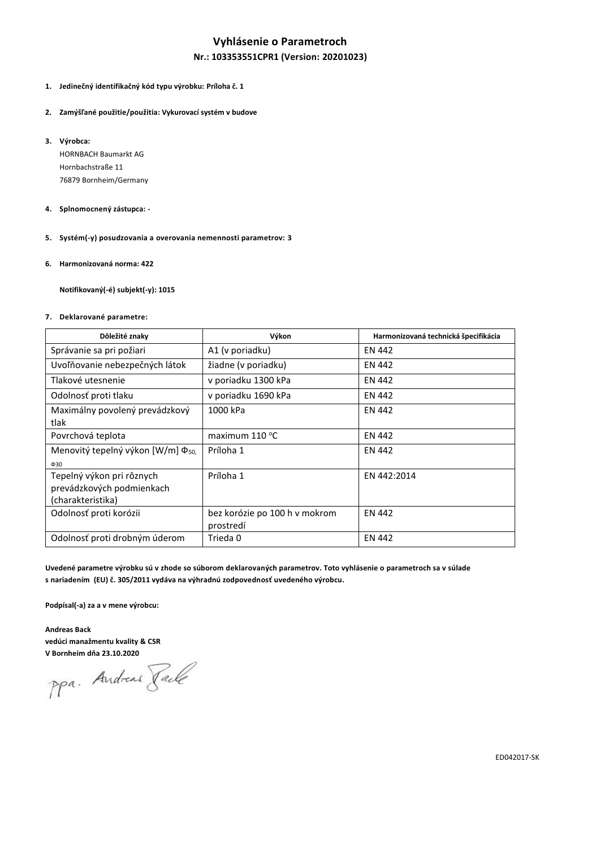## **Vyhlásenie o Parametroch**

## **Nr.: 103353551CPR1 (Version: 20201023)**

### **1. Jedinečný identifikačný kód typu výrobku: Príloha č. 1**

- **2. Zamýšľané použitie/použitia: Vykurovací systém v budove**
- **3. Výrobca:**

HORNBACH Baumarkt AG Hornbachstraße 11 76879 Bornheim/Germany

### **4. Splnomocnený zástupca: -**

- **5. Systém(-y) posudzovania a overovania nemennosti parametrov: 3**
- **6. Harmonizovaná norma: 422**

**Notifikovaný(-é) subjekt(-y): 1015**

#### **7. Deklarované parametre:**

| Dôležité znaky                                                              | Výkon                                      | Harmonizovaná technická špecifikácia |  |  |
|-----------------------------------------------------------------------------|--------------------------------------------|--------------------------------------|--|--|
| Správanie sa pri požiari                                                    | A1 (v poriadku)                            | EN 442                               |  |  |
| Uvoľňovanie nebezpečných látok                                              | žiadne (v poriadku)                        | <b>EN 442</b>                        |  |  |
| Tlakové utesnenie                                                           | v poriadku 1300 kPa                        | <b>EN 442</b>                        |  |  |
| Odolnosť proti tlaku                                                        | v poriadku 1690 kPa                        | <b>EN 442</b>                        |  |  |
| Maximálny povolený prevádzkový<br>tlak                                      | 1000 kPa                                   | <b>EN 442</b>                        |  |  |
| Povrchová teplota                                                           | maximum 110 °C                             | <b>EN 442</b>                        |  |  |
| Menovitý tepelný výkon [W/m] Φ <sub>50,</sub><br>$\Phi$ 30                  | Príloha 1                                  | <b>EN 442</b>                        |  |  |
| Tepelný výkon pri rôznych<br>prevádzkových podmienkach<br>(charakteristika) | Príloha 1                                  | EN 442:2014                          |  |  |
| Odolnosť proti korózii                                                      | bez korózie po 100 h v mokrom<br>prostredí | <b>EN 442</b>                        |  |  |
| Odolnosť proti drobným úderom                                               | Trieda 0                                   | <b>EN 442</b>                        |  |  |

**Uvedené parametre výrobku sú v zhode so súborom deklarovaných parametrov. Toto vyhlásenie o parametroch sa v súlade s nariadením (EU) č. 305/2011 vydáva na výhradnú zodpovednosť uvedeného výrobcu.**

**Podpísal(-a) za a v mene výrobcu:**

**Andreas Back vedúci manažmentu kvality & CSR**

**V Bornheim dňa 23.10.2020**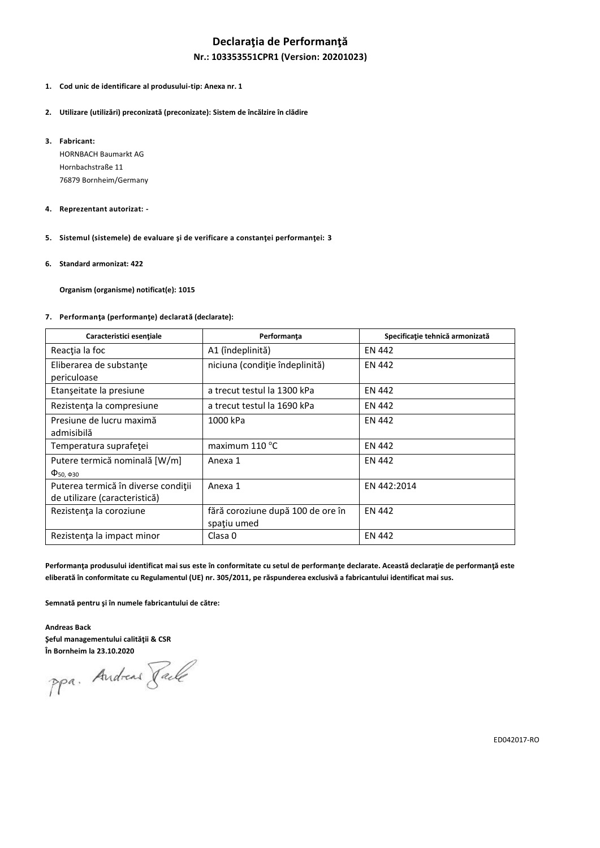# **Declaraţia de Performanţă**

### **Nr.: 103353551CPR1 (Version: 20201023)**

- **1. Cod unic de identificare al produsului-tip: Anexa nr. 1**
- **2. Utilizare (utilizări) preconizată (preconizate): Sistem de încălzire în clădire**
- **3. Fabricant:**

HORNBACH Baumarkt AG Hornbachstraße 11 76879 Bornheim/Germany

- **4. Reprezentant autorizat: -**
- **5. Sistemul (sistemele) de evaluare şi de verificare a constanţei performanţei: 3**
- **6. Standard armonizat: 422**

**Organism (organisme) notificat(e): 1015**

#### **7. Performanţa (performanţe) declarată (declarate):**

| Caracteristici esențiale                                             | Performanța                                      | Specificație tehnică armonizată |  |  |  |
|----------------------------------------------------------------------|--------------------------------------------------|---------------------------------|--|--|--|
| Reacția la foc                                                       | A1 (îndeplinită)                                 | <b>EN 442</b>                   |  |  |  |
| Eliberarea de substanțe<br>periculoase                               | niciuna (condiție îndeplinită)                   | <b>EN 442</b>                   |  |  |  |
| Etanșeitate la presiune                                              | a trecut testul la 1300 kPa                      | <b>EN 442</b>                   |  |  |  |
| Rezistența la compresiune                                            | a trecut testul la 1690 kPa                      | <b>EN 442</b>                   |  |  |  |
| Presiune de lucru maximă<br>admisibilă                               | 1000 kPa                                         | <b>EN 442</b>                   |  |  |  |
| Temperatura suprafeței                                               | maximum $110^{\circ}$ C                          | <b>EN 442</b>                   |  |  |  |
| Putere termică nominală [W/m]<br>$\Phi_{50, \Phi_{30}}$              | Anexa 1                                          | <b>EN 442</b>                   |  |  |  |
| Puterea termică în diverse condiții<br>de utilizare (caracteristică) | Anexa 1                                          | EN 442:2014                     |  |  |  |
| Rezistența la coroziune                                              | fără coroziune după 100 de ore în<br>spatiu umed | <b>EN 442</b>                   |  |  |  |
| Rezistența la impact minor                                           | Clasa 0                                          | <b>EN 442</b>                   |  |  |  |

**Performanţa produsului identificat mai sus este în conformitate cu setul de performanţe declarate. Această declaraţie de performanţă este eliberată în conformitate cu Regulamentul (UE) nr. 305/2011, pe răspunderea exclusivă a fabricantului identificat mai sus.**

**Semnată pentru şi în numele fabricantului de către:**

**Andreas Back Şeful managementului calităţii & CSR**

**În Bornheim la 23.10.2020**

ED042017-RO